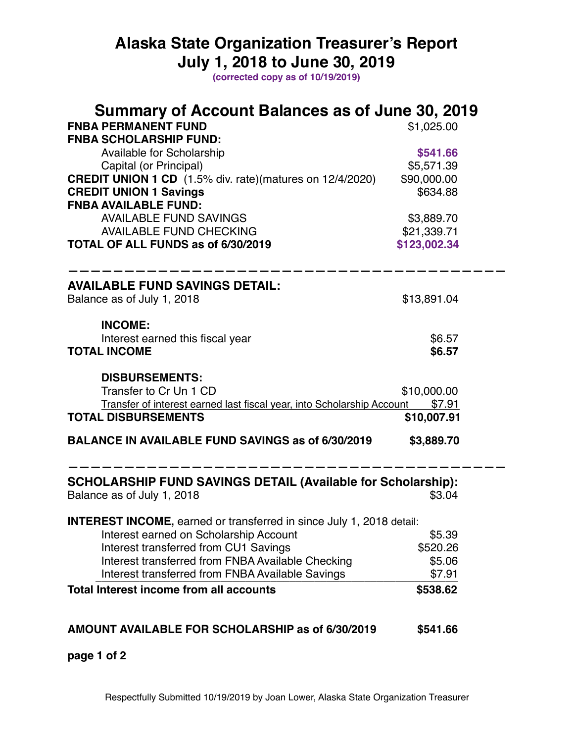## **Alaska State Organization Treasurer's Report July 1, 2018 to June 30, 2019**

**(corrected copy as of 10/19/2019)**

| Summary of Account Balances as of June 30, 2019                               |              |  |  |  |
|-------------------------------------------------------------------------------|--------------|--|--|--|
| <b>FNBA PERMANENT FUND</b>                                                    | \$1,025.00   |  |  |  |
| <b>FNBA SCHOLARSHIP FUND:</b>                                                 |              |  |  |  |
| Available for Scholarship                                                     | \$541.66     |  |  |  |
| Capital (or Principal)                                                        | \$5,571.39   |  |  |  |
| <b>CREDIT UNION 1 CD</b> (1.5% div. rate)(matures on 12/4/2020)               | \$90,000.00  |  |  |  |
| <b>CREDIT UNION 1 Savings</b>                                                 | \$634.88     |  |  |  |
| <b>FNBA AVAILABLE FUND:</b>                                                   |              |  |  |  |
| <b>AVAILABLE FUND SAVINGS</b>                                                 | \$3,889.70   |  |  |  |
| <b>AVAILABLE FUND CHECKING</b>                                                | \$21,339.71  |  |  |  |
| TOTAL OF ALL FUNDS as of 6/30/2019                                            | \$123,002.34 |  |  |  |
| <b>AVAILABLE FUND SAVINGS DETAIL:</b>                                         |              |  |  |  |
| Balance as of July 1, 2018                                                    | \$13,891.04  |  |  |  |
| <b>INCOME:</b>                                                                |              |  |  |  |
| Interest earned this fiscal year                                              | \$6.57       |  |  |  |
| <b>TOTAL INCOME</b>                                                           | \$6.57       |  |  |  |
| <b>DISBURSEMENTS:</b>                                                         |              |  |  |  |
| Transfer to Cr Un 1 CD                                                        | \$10,000.00  |  |  |  |
| Transfer of interest earned last fiscal year, into Scholarship Account \$7.91 |              |  |  |  |
| <b>TOTAL DISBURSEMENTS</b>                                                    | \$10,007.91  |  |  |  |
| <b>BALANCE IN AVAILABLE FUND SAVINGS as of 6/30/2019</b>                      | \$3,889.70   |  |  |  |
| <b>SCHOLARSHIP FUND SAVINGS DETAIL (Available for Scholarship):</b>           |              |  |  |  |
| Balance as of July 1, 2018                                                    | \$3.04       |  |  |  |
| <b>INTEREST INCOME, earned or transferred in since July 1, 2018 detail:</b>   |              |  |  |  |
| Interest earned on Scholarship Account                                        | \$5.39       |  |  |  |
| Interest transferred from CU1 Savings                                         | \$520.26     |  |  |  |
| Interest transferred from FNBA Available Checking                             | \$5.06       |  |  |  |
| Interest transferred from FNBA Available Savings                              | \$7.91       |  |  |  |
| <b>Total Interest income from all accounts</b>                                | \$538.62     |  |  |  |
|                                                                               |              |  |  |  |
| AMOUNT AVAILABLE FOR SCHOLARSHIP as of 6/30/2019                              | \$541.66     |  |  |  |

**page 1 of 2**